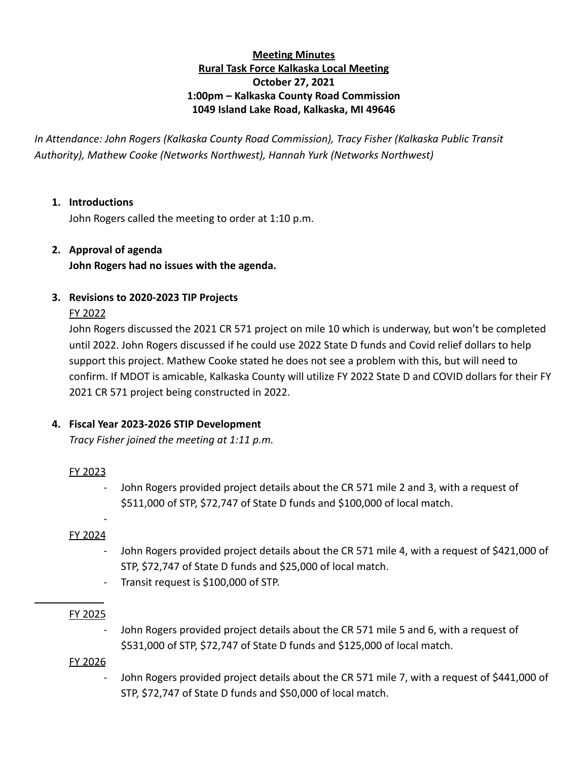# **Meeting Minutes Rural Task Force Kalkaska Local Meeting October 27, 2021 1:00pm – Kalkaska County Road Commission 1049 Island Lake Road, Kalkaska, MI 49646**

*In Attendance: John Rogers (Kalkaska County Road Commission), Tracy Fisher (Kalkaska Public Transit Authority), Mathew Cooke (Networks Northwest), Hannah Yurk (Networks Northwest)*

### **1. Introductions**

John Rogers called the meeting to order at 1:10 p.m.

### **2. Approval of agenda**

**John Rogers had no issues with the agenda.**

### **3. Revisions to 2020-2023 TIP Projects**

### FY 2022

John Rogers discussed the 2021 CR 571 project on mile 10 which is underway, but won't be completed until 2022. John Rogers discussed if he could use 2022 State D funds and Covid relief dollars to help support this project. Mathew Cooke stated he does not see a problem with this, but will need to confirm. If MDOT is amicable, Kalkaska County will utilize FY 2022 State D and COVID dollars for their FY 2021 CR 571 project being constructed in 2022.

# **4. Fiscal Year 2023-2026 STIP Development**

*Tracy Fisher joined the meeting at 1:11 p.m.*

### FY 2023

John Rogers provided project details about the CR 571 mile 2 and 3, with a request of \$511,000 of STP, \$72,747 of State D funds and \$100,000 of local match.

# FY 2024

-

- John Rogers provided project details about the CR 571 mile 4, with a request of \$421,000 of STP, \$72,747 of State D funds and \$25,000 of local match.
- Transit request is \$100,000 of STP.

### FY 2025

John Rogers provided project details about the CR 571 mile 5 and 6, with a request of \$531,000 of STP, \$72,747 of State D funds and \$125,000 of local match.

### FY 2026

John Rogers provided project details about the CR 571 mile 7, with a request of \$441,000 of STP, \$72,747 of State D funds and \$50,000 of local match.